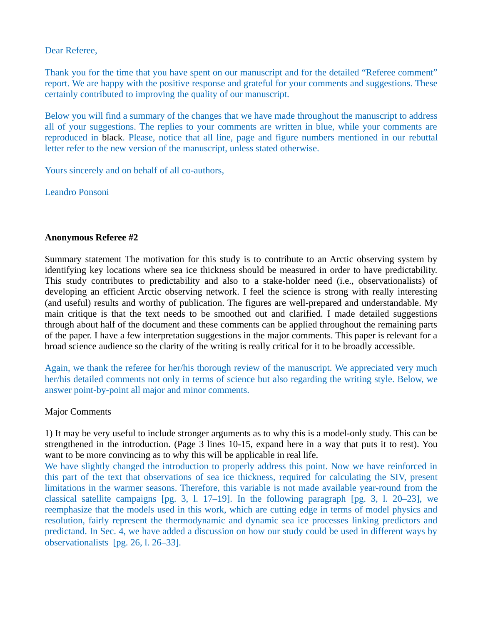Dear Referee,

Thank you for the time that you have spent on our manuscript and for the detailed "Referee comment" report. We are happy with the positive response and grateful for your comments and suggestions. These certainly contributed to improving the quality of our manuscript.

Below you will find a summary of the changes that we have made throughout the manuscript to address all of your suggestions. The replies to your comments are written in blue, while your comments are reproduced in black. Please, notice that all line, page and figure numbers mentioned in our rebuttal letter refer to the new version of the manuscript, unless stated otherwise.

Yours sincerely and on behalf of all co-authors,

Leandro Ponsoni

## **Anonymous Referee #2**

Summary statement The motivation for this study is to contribute to an Arctic observing system by identifying key locations where sea ice thickness should be measured in order to have predictability. This study contributes to predictability and also to a stake-holder need (i.e., observationalists) of developing an efficient Arctic observing network. I feel the science is strong with really interesting (and useful) results and worthy of publication. The figures are well-prepared and understandable. My main critique is that the text needs to be smoothed out and clarified. I made detailed suggestions through about half of the document and these comments can be applied throughout the remaining parts of the paper. I have a few interpretation suggestions in the major comments. This paper is relevant for a broad science audience so the clarity of the writing is really critical for it to be broadly accessible.

Again, we thank the referee for her/his thorough review of the manuscript. We appreciated very much her/his detailed comments not only in terms of science but also regarding the writing style. Below, we answer point-by-point all major and minor comments.

## Major Comments

1) It may be very useful to include stronger arguments as to why this is a model-only study. This can be strengthened in the introduction. (Page 3 lines 10-15, expand here in a way that puts it to rest). You want to be more convincing as to why this will be applicable in real life.

We have slightly changed the introduction to properly address this point. Now we have reinforced in this part of the text that observations of sea ice thickness, required for calculating the SIV, present limitations in the warmer seasons. Therefore, this variable is not made available year-round from the classical satellite campaigns [pg. 3, l. 17–19]. In the following paragraph [pg. 3, l. 20–23], we reemphasize that the models used in this work, which are cutting edge in terms of model physics and resolution, fairly represent the thermodynamic and dynamic sea ice processes linking predictors and predictand. In Sec. 4, we have added a discussion on how our study could be used in different ways by observationalists [pg. 26, l. 26–33].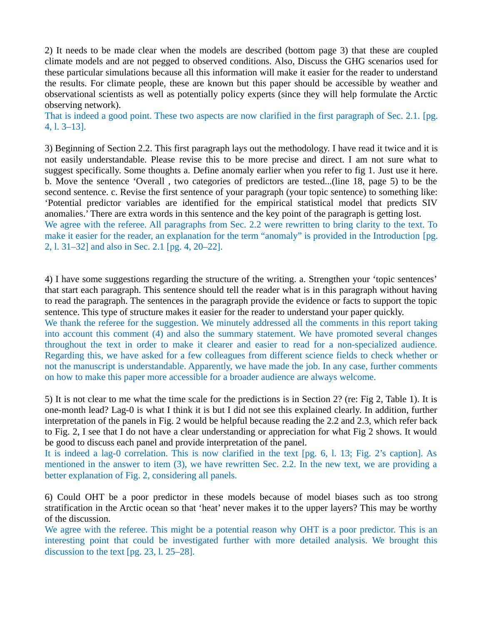2) It needs to be made clear when the models are described (bottom page 3) that these are coupled climate models and are not pegged to observed conditions. Also, Discuss the GHG scenarios used for these particular simulations because all this information will make it easier for the reader to understand the results. For climate people, these are known but this paper should be accessible by weather and observational scientists as well as potentially policy experts (since they will help formulate the Arctic observing network).

That is indeed a good point. These two aspects are now clarified in the first paragraph of Sec. 2.1. [pg. 4, l. 3–13].

3) Beginning of Section 2.2. This first paragraph lays out the methodology. I have read it twice and it is not easily understandable. Please revise this to be more precise and direct. I am not sure what to suggest specifically. Some thoughts a. Define anomaly earlier when you refer to fig 1. Just use it here. b. Move the sentence 'Overall , two categories of predictors are tested...(line 18, page 5) to be the second sentence. c. Revise the first sentence of your paragraph (your topic sentence) to something like: 'Potential predictor variables are identified for the empirical statistical model that predicts SIV anomalies.' There are extra words in this sentence and the key point of the paragraph is getting lost. We agree with the referee. All paragraphs from Sec. 2.2 were rewritten to bring clarity to the text. To make it easier for the reader, an explanation for the term "anomaly" is provided in the Introduction [pg.

2, l. 31–32] and also in Sec. 2.1 [pg. 4, 20–22].

4) I have some suggestions regarding the structure of the writing. a. Strengthen your 'topic sentences' that start each paragraph. This sentence should tell the reader what is in this paragraph without having to read the paragraph. The sentences in the paragraph provide the evidence or facts to support the topic sentence. This type of structure makes it easier for the reader to understand your paper quickly.

We thank the referee for the suggestion. We minutely addressed all the comments in this report taking into account this comment (4) and also the summary statement. We have promoted several changes throughout the text in order to make it clearer and easier to read for a non-specialized audience. Regarding this, we have asked for a few colleagues from different science fields to check whether or not the manuscript is understandable. Apparently, we have made the job. In any case, further comments on how to make this paper more accessible for a broader audience are always welcome.

5) It is not clear to me what the time scale for the predictions is in Section 2? (re: Fig 2, Table 1). It is one-month lead? Lag-0 is what I think it is but I did not see this explained clearly. In addition, further interpretation of the panels in Fig. 2 would be helpful because reading the 2.2 and 2.3, which refer back to Fig. 2, I see that I do not have a clear understanding or appreciation for what Fig 2 shows. It would be good to discuss each panel and provide interpretation of the panel.

It is indeed a lag-0 correlation. This is now clarified in the text [pg. 6, l. 13; Fig. 2's caption]. As mentioned in the answer to item (3), we have rewritten Sec. 2.2. In the new text, we are providing a better explanation of Fig. 2, considering all panels.

6) Could OHT be a poor predictor in these models because of model biases such as too strong stratification in the Arctic ocean so that 'heat' never makes it to the upper layers? This may be worthy of the discussion.

We agree with the referee. This might be a potential reason why OHT is a poor predictor. This is an interesting point that could be investigated further with more detailed analysis. We brought this discussion to the text [pg. 23, l. 25–28].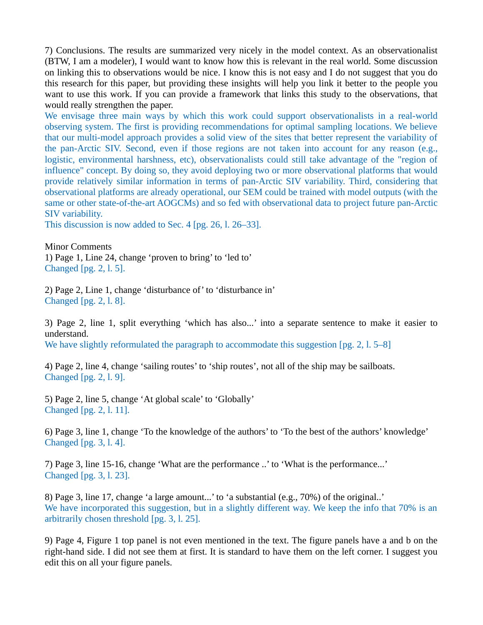7) Conclusions. The results are summarized very nicely in the model context. As an observationalist (BTW, I am a modeler), I would want to know how this is relevant in the real world. Some discussion on linking this to observations would be nice. I know this is not easy and I do not suggest that you do this research for this paper, but providing these insights will help you link it better to the people you want to use this work. If you can provide a framework that links this study to the observations, that would really strengthen the paper.

We envisage three main ways by which this work could support observationalists in a real-world observing system. The first is providing recommendations for optimal sampling locations. We believe that our multi-model approach provides a solid view of the sites that better represent the variability of the pan-Arctic SIV. Second, even if those regions are not taken into account for any reason (e.g., logistic, environmental harshness, etc), observationalists could still take advantage of the "region of influence" concept. By doing so, they avoid deploying two or more observational platforms that would provide relatively similar information in terms of pan-Arctic SIV variability. Third, considering that observational platforms are already operational, our SEM could be trained with model outputs (with the same or other state-of-the-art AOGCMs) and so fed with observational data to project future pan-Arctic SIV variability.

This discussion is now added to Sec. 4 [pg. 26, l. 26–33].

Minor Comments 1) Page 1, Line 24, change 'proven to bring' to 'led to' Changed [pg. 2, l. 5].

2) Page 2, Line 1, change 'disturbance of' to 'disturbance in' Changed [pg. 2, l. 8].

3) Page 2, line 1, split everything 'which has also...' into a separate sentence to make it easier to understand.

We have slightly reformulated the paragraph to accommodate this suggestion [pg. 2, l. 5–8]

4) Page 2, line 4, change 'sailing routes' to 'ship routes', not all of the ship may be sailboats. Changed [pg. 2, l. 9].

5) Page 2, line 5, change 'At global scale' to 'Globally' Changed [pg. 2, l. 11].

6) Page 3, line 1, change 'To the knowledge of the authors' to 'To the best of the authors' knowledge' Changed [pg. 3, l. 4].

7) Page 3, line 15-16, change 'What are the performance ..' to 'What is the performance...' Changed [pg. 3, l. 23].

8) Page 3, line 17, change 'a large amount...' to 'a substantial (e.g., 70%) of the original..' We have incorporated this suggestion, but in a slightly different way. We keep the info that 70% is an arbitrarily chosen threshold [pg. 3, l. 25].

9) Page 4, Figure 1 top panel is not even mentioned in the text. The figure panels have a and b on the right-hand side. I did not see them at first. It is standard to have them on the left corner. I suggest you edit this on all your figure panels.